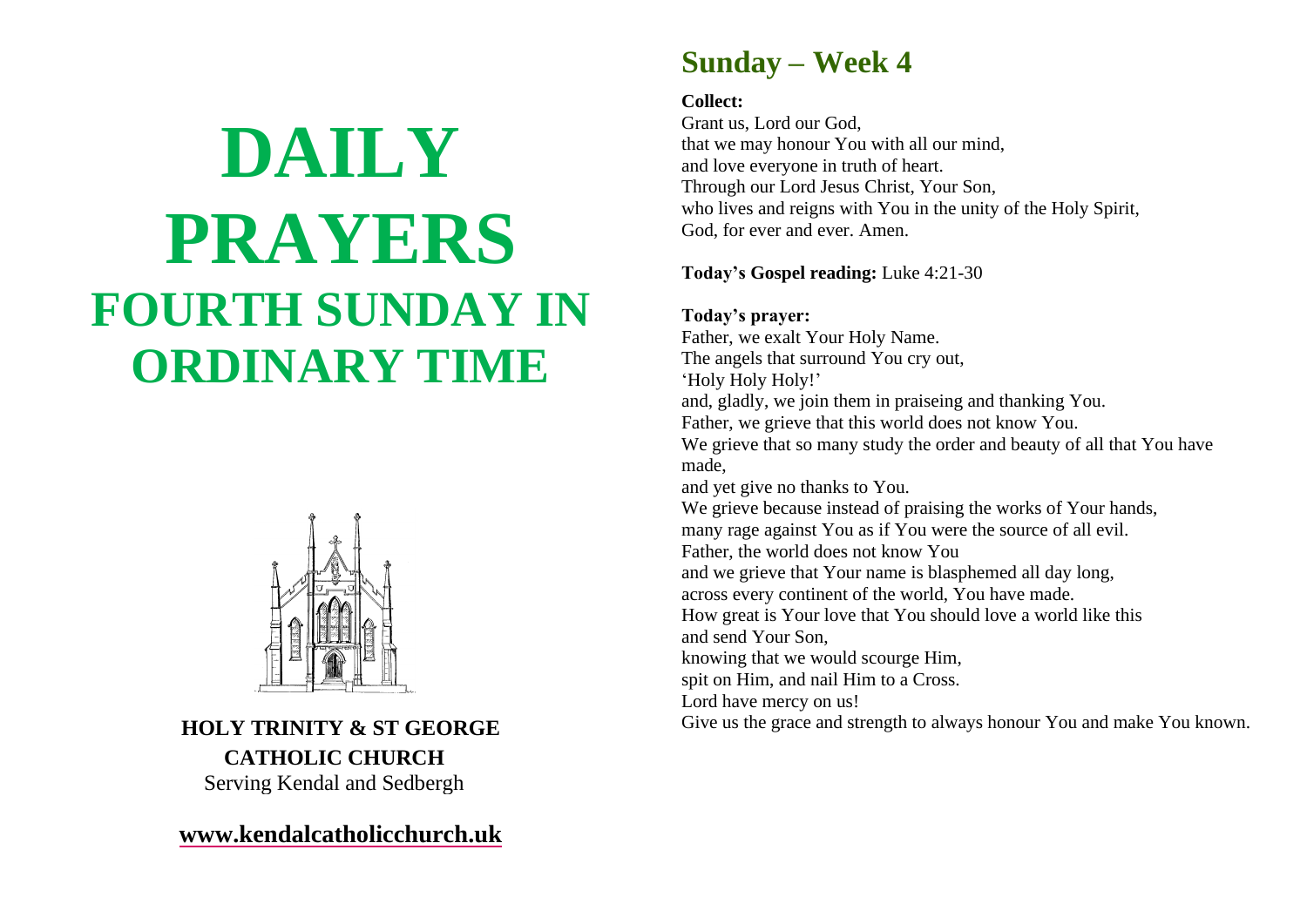# **DAILY PRAYERS FOURTH SUNDAY IN ORDINARY TIME**



**HOLY TRINITY & ST GEORGE CATHOLIC CHURCH** Serving Kendal and Sedbergh

**[www.kendalcatholicchurch.uk](http://www.kendalcatholicchurch.uk/)**

# **Sunday – Week 4**

#### **Collect:**

Grant us, Lord our God, that we may honour You with all our mind, and love everyone in truth of heart. Through our Lord Jesus Christ, Your Son, who lives and reigns with You in the unity of the Holy Spirit, God, for ever and ever. Amen.

# **Today's Gospel reading:** Luke 4:21-30

# **Today's prayer:**

Father, we exalt Your Holy Name. The angels that surround You cry out, 'Holy Holy Holy!' and, gladly, we join them in praiseing and thanking You. Father, we grieve that this world does not know You. We grieve that so many study the order and beauty of all that You have made, and yet give no thanks to You. We grieve because instead of praising the works of Your hands, many rage against You as if You were the source of all evil. Father, the world does not know You and we grieve that Your name is blasphemed all day long, across every continent of the world, You have made. How great is Your love that You should love a world like this and send Your Son, knowing that we would scourge Him, spit on Him, and nail Him to a Cross. Lord have mercy on us! Give us the grace and strength to always honour You and make You known.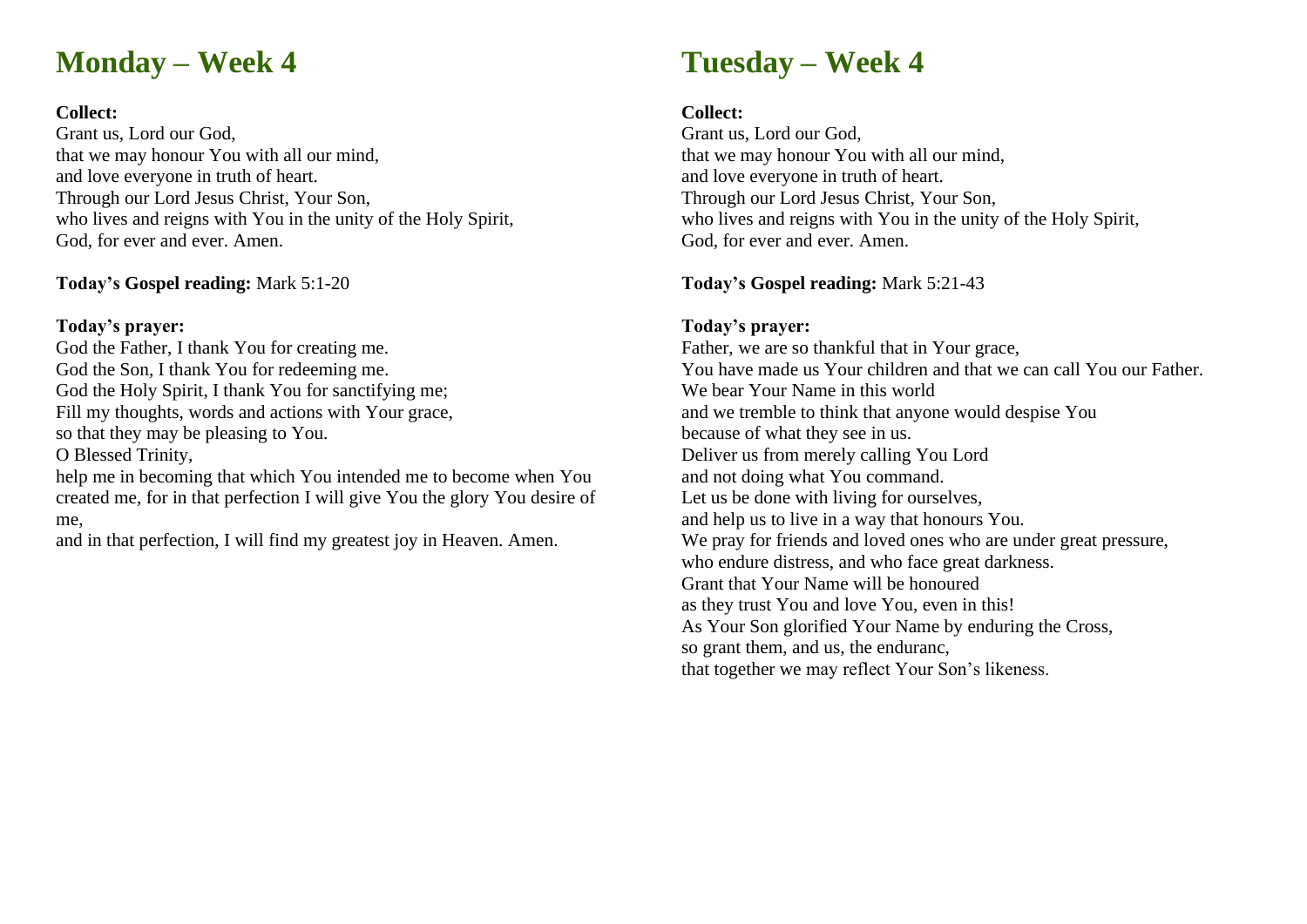# **Monday – Week 4**

#### **Collect:**

Grant us, Lord our God, that we may honour You with all our mind, and love everyone in truth of heart. Through our Lord Jesus Christ, Your Son, who lives and reigns with You in the unity of the Holy Spirit, God, for ever and ever. Amen.

#### **Today's Gospel reading:** Mark 5:1-20

### **Today's prayer:**

God the Father, I thank You for creating me. God the Son, I thank You for redeeming me. God the Holy Spirit, I thank You for sanctifying me; Fill my thoughts, words and actions with Your grace, so that they may be pleasing to You. O Blessed Trinity, help me in becoming that which You intended me to become when You created me, for in that perfection I will give You the glory You desire of

me,

and in that perfection, I will find my greatest joy in Heaven. Amen.

# **Tuesday – Week 4**

### **Collect:**

Grant us, Lord our God, that we may honour You with all our mind, and love everyone in truth of heart. Through our Lord Jesus Christ, Your Son, who lives and reigns with You in the unity of the Holy Spirit, God, for ever and ever. Amen.

# **Today's Gospel reading:** Mark 5:21-43

# **Today's prayer:**

Father, we are so thankful that in Your grace, You have made us Your children and that we can call You our Father. We bear Your Name in this world and we tremble to think that anyone would despise You because of what they see in us. Deliver us from merely calling You Lord and not doing what You command. Let us be done with living for ourselves, and help us to live in a way that honours You. We pray for friends and loved ones who are under great pressure, who endure distress, and who face great darkness. Grant that Your Name will be honoured as they trust You and love You, even in this! As Your Son glorified Your Name by enduring the Cross, so grant them, and us, the enduranc, that together we may reflect Your Son's likeness.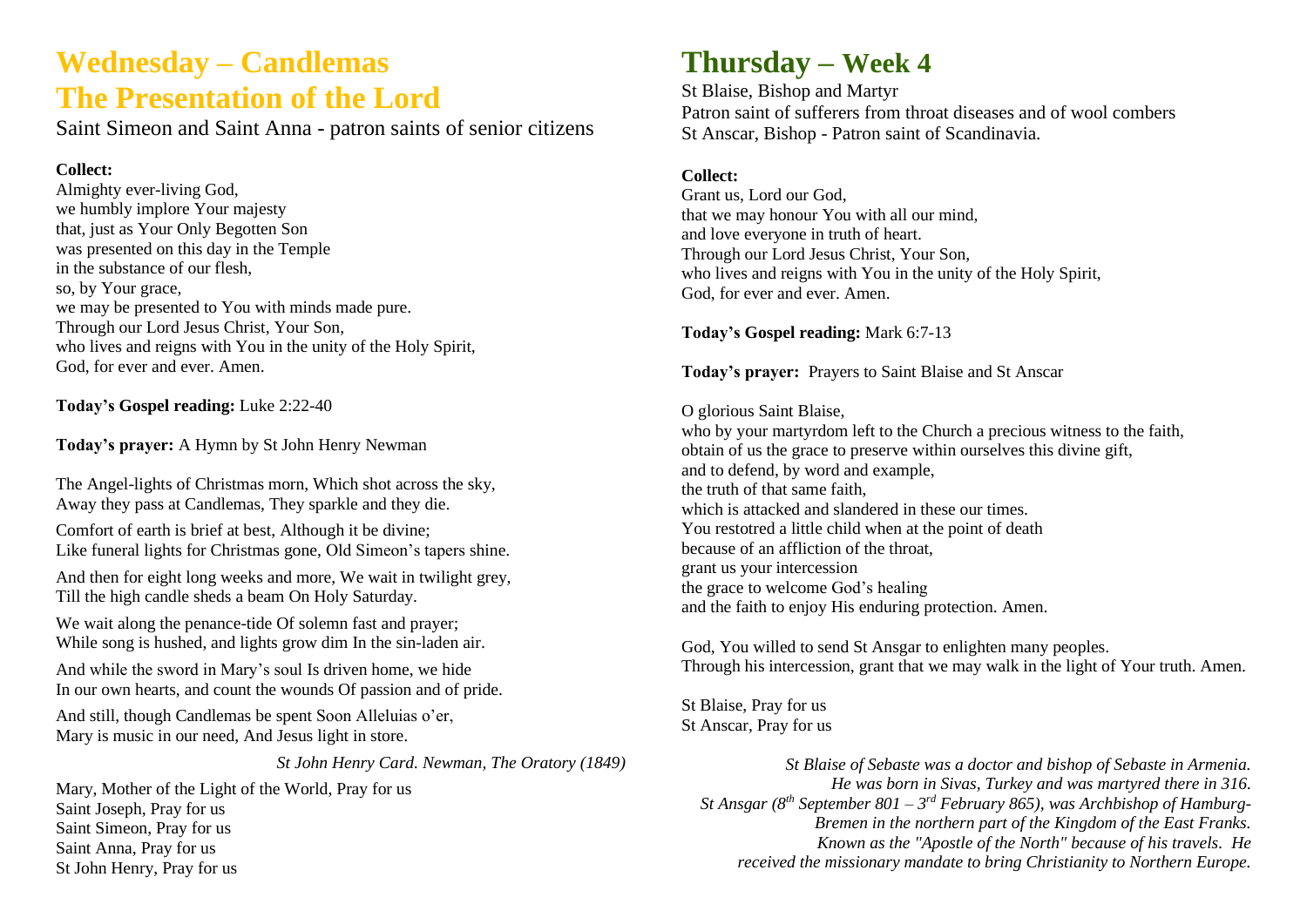# **Wednesday – Candlemas The Presentation of the Lord**

Saint Simeon and Saint Anna - patron saints of senior citizens

#### **Collect:**

Almighty ever-living God, we humbly implore Your majesty that, just as Your Only Begotten Son was presented on this day in the Temple in the substance of our flesh, so, by Your grace, we may be presented to You with minds made pure. Through our Lord Jesus Christ, Your Son, who lives and reigns with You in the unity of the Holy Spirit, God, for ever and ever. Amen.

**Today's Gospel reading:** Luke 2:22-40

**Today's prayer:** A Hymn by St John Henry Newman

The Angel-lights of Christmas morn, Which shot across the sky, Away they pass at Candlemas, They sparkle and they die.

Comfort of earth is brief at best, Although it be divine; Like funeral lights for Christmas gone, Old Simeon's tapers shine.

And then for eight long weeks and more, We wait in twilight grey, Till the high candle sheds a beam On Holy Saturday.

We wait along the penance-tide Of solemn fast and prayer; While song is hushed, and lights grow dim In the sin-laden air.

And while the sword in Mary's soul Is driven home, we hide In our own hearts, and count the wounds Of passion and of pride.

And still, though Candlemas be spent Soon Alleluias o'er, Mary is music in our need, And Jesus light in store.

*St John Henry Card. Newman, The Oratory (1849)*

Mary, Mother of the Light of the World, Pray for us Saint Joseph, Pray for us Saint Simeon, Pray for us Saint Anna, Pray for us St John Henry, Pray for us

# **Thursday – Week 4**

St Blaise, Bishop and Martyr Patron saint of sufferers from throat diseases and of wool combers St Anscar, Bishop - Patron saint of Scandinavia.

#### **Collect:**

Grant us, Lord our God, that we may honour You with all our mind, and love everyone in truth of heart. Through our Lord Jesus Christ, Your Son, who lives and reigns with You in the unity of the Holy Spirit, God, for ever and ever. Amen.

**Today's Gospel reading:** Mark 6:7-13

**Today's prayer:** Prayers to Saint Blaise and St Anscar

#### O glorious Saint Blaise,

who by your martyrdom left to the Church a precious witness to the faith, obtain of us the grace to preserve within ourselves this divine gift, and to defend, by word and example, the truth of that same faith, which is attacked and slandered in these our times. You restotred a little child when at the point of death because of an affliction of the throat, grant us your intercession the grace to welcome God's healing and the faith to enjoy His enduring protection. Amen.

God, You willed to send St Ansgar to enlighten many peoples. Through his intercession, grant that we may walk in the light of Your truth. Amen.

St Blaise, Pray for us St Anscar, Pray for us

*St Blaise of Sebaste was a doctor and bishop of Sebaste in Armenia. He was born in Sivas, Turkey and was martyred there in 316. St Ansgar (8th September 801 – 3 rd February 865), was Archbishop of Hamburg-Bremen in the northern part of the Kingdom of the East Franks. Known as the "Apostle of the North" because of his travels. He received the missionary mandate to bring Christianity to Northern Europe.*